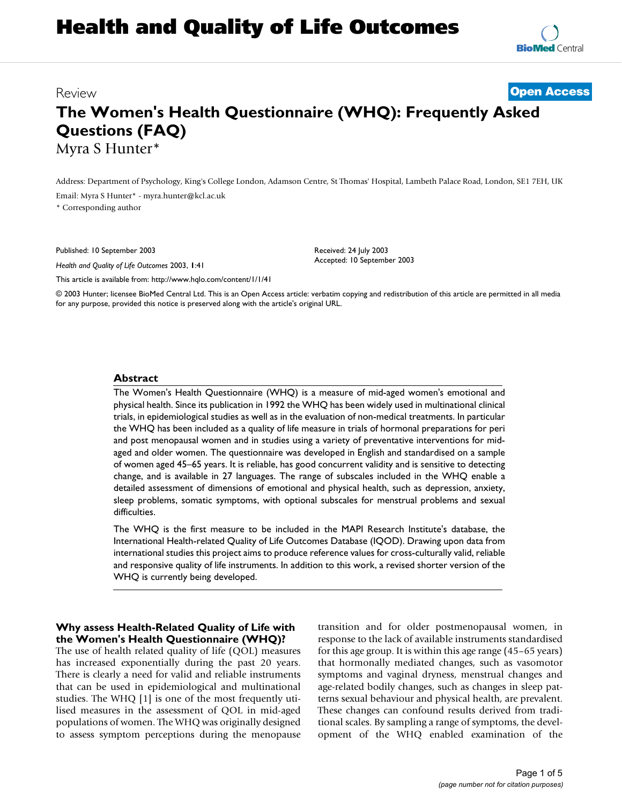# **Health and Quality of Life Outcomes**

# Review **[Open Access](http://www.biomedcentral.com/info/about/charter/)**

# **The Women's Health Questionnaire (WHQ): Frequently Asked Questions (FAQ)** Myra S Hunter\*

Address: Department of Psychology, King's College London, Adamson Centre, St Thomas' Hospital, Lambeth Palace Road, London, SE1 7EH, UK Email: Myra S Hunter\* - myra.hunter@kcl.ac.uk

\* Corresponding author

Published: 10 September 2003

*Health and Quality of Life Outcomes* 2003, **1**:41

Received: 24 July 2003 Accepted: 10 September 2003

[This article is available from: http://www.hqlo.com/content/1/1/41](http://www.hqlo.com/content/1/1/41)

© 2003 Hunter; licensee BioMed Central Ltd. This is an Open Access article: verbatim copying and redistribution of this article are permitted in all media for any purpose, provided this notice is preserved along with the article's original URL.

#### **Abstract**

The Women's Health Questionnaire (WHQ) is a measure of mid-aged women's emotional and physical health. Since its publication in 1992 the WHQ has been widely used in multinational clinical trials, in epidemiological studies as well as in the evaluation of non-medical treatments. In particular the WHQ has been included as a quality of life measure in trials of hormonal preparations for peri and post menopausal women and in studies using a variety of preventative interventions for midaged and older women. The questionnaire was developed in English and standardised on a sample of women aged 45–65 years. It is reliable, has good concurrent validity and is sensitive to detecting change, and is available in 27 languages. The range of subscales included in the WHQ enable a detailed assessment of dimensions of emotional and physical health, such as depression, anxiety, sleep problems, somatic symptoms, with optional subscales for menstrual problems and sexual difficulties.

The WHQ is the first measure to be included in the MAPI Research Institute's database, the International Health-related Quality of Life Outcomes Database (IQOD). Drawing upon data from international studies this project aims to produce reference values for cross-culturally valid, reliable and responsive quality of life instruments. In addition to this work, a revised shorter version of the WHQ is currently being developed.

#### **Why assess Health-Related Quality of Life with the Women's Health Questionnaire (WHQ)?**

The use of health related quality of life (QOL) measures has increased exponentially during the past 20 years. There is clearly a need for valid and reliable instruments that can be used in epidemiological and multinational studies. The WHQ [1] is one of the most frequently utilised measures in the assessment of QOL in mid-aged populations of women. The WHQ was originally designed to assess symptom perceptions during the menopause transition and for older postmenopausal women, in response to the lack of available instruments standardised for this age group. It is within this age range (45–65 years) that hormonally mediated changes, such as vasomotor symptoms and vaginal dryness, menstrual changes and age-related bodily changes, such as changes in sleep patterns sexual behaviour and physical health, are prevalent. These changes can confound results derived from traditional scales. By sampling a range of symptoms, the development of the WHQ enabled examination of the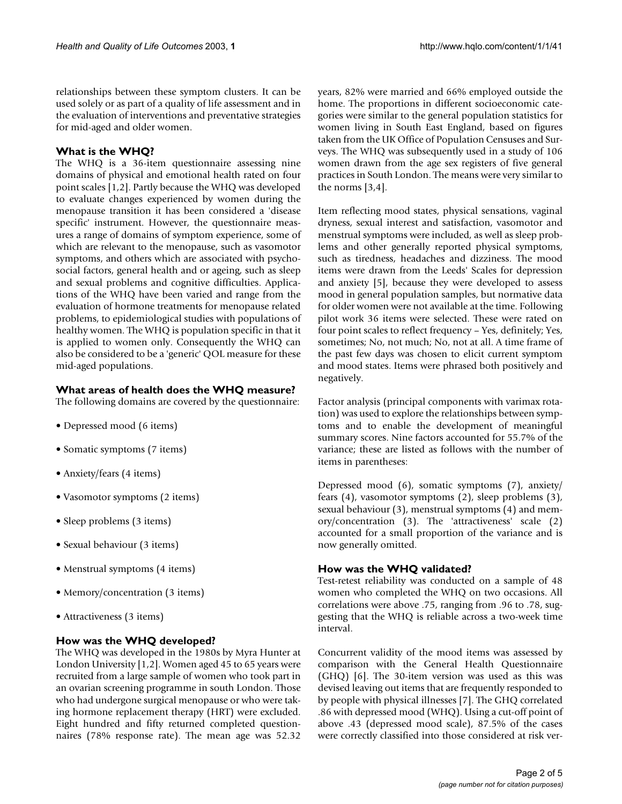relationships between these symptom clusters. It can be used solely or as part of a quality of life assessment and in the evaluation of interventions and preventative strategies for mid-aged and older women.

#### **What is the WHQ?**

The WHQ is a 36-item questionnaire assessing nine domains of physical and emotional health rated on four point scales [1,2]. Partly because the WHQ was developed to evaluate changes experienced by women during the menopause transition it has been considered a 'disease specific' instrument. However, the questionnaire measures a range of domains of symptom experience, some of which are relevant to the menopause, such as vasomotor symptoms, and others which are associated with psychosocial factors, general health and or ageing, such as sleep and sexual problems and cognitive difficulties. Applications of the WHQ have been varied and range from the evaluation of hormone treatments for menopause related problems, to epidemiological studies with populations of healthy women. The WHQ is population specific in that it is applied to women only. Consequently the WHQ can also be considered to be a 'generic' QOL measure for these mid-aged populations.

#### **What areas of health does the WHQ measure?**

The following domains are covered by the questionnaire:

- Depressed mood (6 items)
- Somatic symptoms (7 items)
- Anxiety/fears (4 items)
- Vasomotor symptoms (2 items)
- Sleep problems (3 items)
- Sexual behaviour (3 items)
- Menstrual symptoms (4 items)
- Memory/concentration (3 items)
- Attractiveness (3 items)

#### **How was the WHQ developed?**

The WHQ was developed in the 1980s by Myra Hunter at London University [1,2]. Women aged 45 to 65 years were recruited from a large sample of women who took part in an ovarian screening programme in south London. Those who had undergone surgical menopause or who were taking hormone replacement therapy (HRT) were excluded. Eight hundred and fifty returned completed questionnaires (78% response rate). The mean age was 52.32

years, 82% were married and 66% employed outside the home. The proportions in different socioeconomic categories were similar to the general population statistics for women living in South East England, based on figures taken from the UK Office of Population Censuses and Surveys. The WHQ was subsequently used in a study of 106 women drawn from the age sex registers of five general practices in South London. The means were very similar to the norms [3,4].

Item reflecting mood states, physical sensations, vaginal dryness, sexual interest and satisfaction, vasomotor and menstrual symptoms were included, as well as sleep problems and other generally reported physical symptoms, such as tiredness, headaches and dizziness. The mood items were drawn from the Leeds' Scales for depression and anxiety [5], because they were developed to assess mood in general population samples, but normative data for older women were not available at the time. Following pilot work 36 items were selected. These were rated on four point scales to reflect frequency – Yes, definitely; Yes, sometimes; No, not much; No, not at all. A time frame of the past few days was chosen to elicit current symptom and mood states. Items were phrased both positively and negatively.

Factor analysis (principal components with varimax rotation) was used to explore the relationships between symptoms and to enable the development of meaningful summary scores. Nine factors accounted for 55.7% of the variance; these are listed as follows with the number of items in parentheses:

Depressed mood (6), somatic symptoms (7), anxiety/ fears (4), vasomotor symptoms (2), sleep problems (3), sexual behaviour (3), menstrual symptoms (4) and memory/concentration (3). The 'attractiveness' scale (2) accounted for a small proportion of the variance and is now generally omitted.

#### **How was the WHQ validated?**

Test-retest reliability was conducted on a sample of 48 women who completed the WHQ on two occasions. All correlations were above .75, ranging from .96 to .78, suggesting that the WHQ is reliable across a two-week time interval.

Concurrent validity of the mood items was assessed by comparison with the General Health Questionnaire (GHQ) [6]. The 30-item version was used as this was devised leaving out items that are frequently responded to by people with physical illnesses [7]. The GHQ correlated .86 with depressed mood (WHQ). Using a cut-off point of above .43 (depressed mood scale), 87.5% of the cases were correctly classified into those considered at risk ver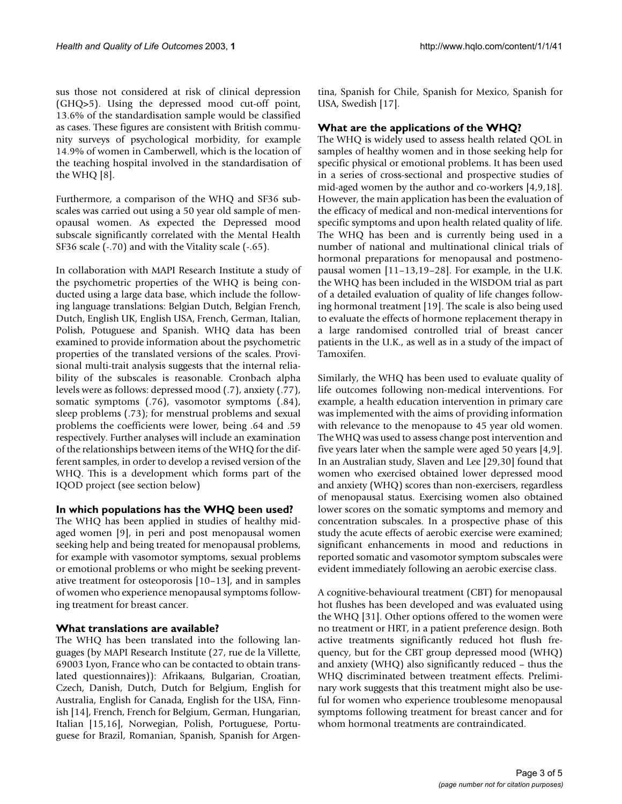sus those not considered at risk of clinical depression (GHQ>5). Using the depressed mood cut-off point, 13.6% of the standardisation sample would be classified as cases. These figures are consistent with British community surveys of psychological morbidity, for example 14.9% of women in Camberwell, which is the location of the teaching hospital involved in the standardisation of the WHQ [8].

Furthermore, a comparison of the WHQ and SF36 subscales was carried out using a 50 year old sample of menopausal women. As expected the Depressed mood subscale significantly correlated with the Mental Health SF36 scale (-.70) and with the Vitality scale (-.65).

In collaboration with MAPI Research Institute a study of the psychometric properties of the WHQ is being conducted using a large data base, which include the following language translations: Belgian Dutch, Belgian French, Dutch, English UK, English USA, French, German, Italian, Polish, Potuguese and Spanish. WHQ data has been examined to provide information about the psychometric properties of the translated versions of the scales. Provisional multi-trait analysis suggests that the internal reliability of the subscales is reasonable. Cronbach alpha levels were as follows: depressed mood (.7), anxiety (.77), somatic symptoms (.76), vasomotor symptoms (.84), sleep problems (.73); for menstrual problems and sexual problems the coefficients were lower, being .64 and .59 respectively. Further analyses will include an examination of the relationships between items of the WHQ for the different samples, in order to develop a revised version of the WHQ. This is a development which forms part of the IQOD project (see section below)

#### **In which populations has the WHQ been used?**

The WHQ has been applied in studies of healthy midaged women [9], in peri and post menopausal women seeking help and being treated for menopausal problems, for example with vasomotor symptoms, sexual problems or emotional problems or who might be seeking preventative treatment for osteoporosis [10–13], and in samples of women who experience menopausal symptoms following treatment for breast cancer.

#### **What translations are available?**

The WHQ has been translated into the following languages (by MAPI Research Institute (27, rue de la Villette, 69003 Lyon, France who can be contacted to obtain translated questionnaires)): Afrikaans, Bulgarian, Croatian, Czech, Danish, Dutch, Dutch for Belgium, English for Australia, English for Canada, English for the USA, Finnish [14], French, French for Belgium, German, Hungarian, Italian [15,16], Norwegian, Polish, Portuguese, Portuguese for Brazil, Romanian, Spanish, Spanish for Argentina, Spanish for Chile, Spanish for Mexico, Spanish for USA, Swedish [17].

### **What are the applications of the WHQ?**

The WHQ is widely used to assess health related QOL in samples of healthy women and in those seeking help for specific physical or emotional problems. It has been used in a series of cross-sectional and prospective studies of mid-aged women by the author and co-workers [4,9,18]. However, the main application has been the evaluation of the efficacy of medical and non-medical interventions for specific symptoms and upon health related quality of life. The WHQ has been and is currently being used in a number of national and multinational clinical trials of hormonal preparations for menopausal and postmenopausal women [11–13,19–28]. For example, in the U.K. the WHQ has been included in the WISDOM trial as part of a detailed evaluation of quality of life changes following hormonal treatment [19]. The scale is also being used to evaluate the effects of hormone replacement therapy in a large randomised controlled trial of breast cancer patients in the U.K., as well as in a study of the impact of Tamoxifen.

Similarly, the WHQ has been used to evaluate quality of life outcomes following non-medical interventions. For example, a health education intervention in primary care was implemented with the aims of providing information with relevance to the menopause to 45 year old women. The WHQ was used to assess change post intervention and five years later when the sample were aged 50 years [4,9]. In an Australian study, Slaven and Lee [29,30] found that women who exercised obtained lower depressed mood and anxiety (WHQ) scores than non-exercisers, regardless of menopausal status. Exercising women also obtained lower scores on the somatic symptoms and memory and concentration subscales. In a prospective phase of this study the acute effects of aerobic exercise were examined; significant enhancements in mood and reductions in reported somatic and vasomotor symptom subscales were evident immediately following an aerobic exercise class.

A cognitive-behavioural treatment (CBT) for menopausal hot flushes has been developed and was evaluated using the WHQ [31]. Other options offered to the women were no treatment or HRT, in a patient preference design. Both active treatments significantly reduced hot flush frequency, but for the CBT group depressed mood (WHQ) and anxiety (WHQ) also significantly reduced – thus the WHQ discriminated between treatment effects. Preliminary work suggests that this treatment might also be useful for women who experience troublesome menopausal symptoms following treatment for breast cancer and for whom hormonal treatments are contraindicated.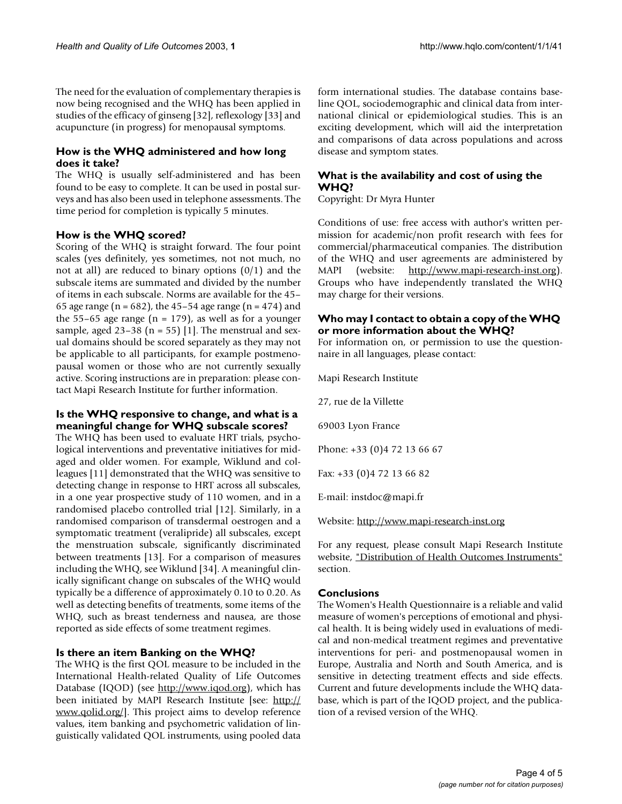The need for the evaluation of complementary therapies is now being recognised and the WHQ has been applied in studies of the efficacy of ginseng [32], reflexology [33] and acupuncture (in progress) for menopausal symptoms.

#### **How is the WHQ administered and how long does it take?**

The WHQ is usually self-administered and has been found to be easy to complete. It can be used in postal surveys and has also been used in telephone assessments. The time period for completion is typically 5 minutes.

#### **How is the WHQ scored?**

Scoring of the WHQ is straight forward. The four point scales (yes definitely, yes sometimes, not not much, no not at all) are reduced to binary options  $(0/1)$  and the subscale items are summated and divided by the number of items in each subscale. Norms are available for the 45– 65 age range ( $n = 682$ ), the 45–54 age range ( $n = 474$ ) and the 55–65 age range ( $n = 179$ ), as well as for a younger sample, aged  $23-38$  (n = 55) [1]. The menstrual and sexual domains should be scored separately as they may not be applicable to all participants, for example postmenopausal women or those who are not currently sexually active. Scoring instructions are in preparation: please contact Mapi Research Institute for further information.

#### **Is the WHQ responsive to change, and what is a meaningful change for WHQ subscale scores?**

The WHQ has been used to evaluate HRT trials, psychological interventions and preventative initiatives for midaged and older women. For example, Wiklund and colleagues [11] demonstrated that the WHQ was sensitive to detecting change in response to HRT across all subscales, in a one year prospective study of 110 women, and in a randomised placebo controlled trial [12]. Similarly, in a randomised comparison of transdermal oestrogen and a symptomatic treatment (veralipride) all subscales, except the menstruation subscale, significantly discriminated between treatments [13]. For a comparison of measures including the WHQ, see Wiklund [34]. A meaningful clinically significant change on subscales of the WHQ would typically be a difference of approximately 0.10 to 0.20. As well as detecting benefits of treatments, some items of the WHQ, such as breast tenderness and nausea, are those reported as side effects of some treatment regimes.

#### **Is there an item Banking on the WHQ?**

The WHQ is the first QOL measure to be included in the International Health-related Quality of Life Outcomes Database (IQOD) (see [http://www.iqod.org\)](http://www.iqod.org), which has been initiated by MAPI Research Institute [see: [http://](http://www.qolid.org/) www.qolid.org/. This project aims to develop reference values, item banking and psychometric validation of linguistically validated QOL instruments, using pooled data form international studies. The database contains baseline QOL, sociodemographic and clinical data from international clinical or epidemiological studies. This is an exciting development, which will aid the interpretation and comparisons of data across populations and across disease and symptom states.

## **What is the availability and cost of using the WHQ?**

Copyright: Dr Myra Hunter

Conditions of use: free access with author's written permission for academic/non profit research with fees for commercial/pharmaceutical companies. The distribution of the WHQ and user agreements are administered by MAPI (website: [http://www.mapi-research-inst.org\)](http://www.mapi-research-inst.org). Groups who have independently translated the WHQ may charge for their versions.

#### **Who may I contact to obtain a copy of the WHQ or more information about the WHQ?**

For information on, or permission to use the questionnaire in all languages, please contact:

Mapi Research Institute

27, rue de la Villette

69003 Lyon France

Phone: +33 (0)4 72 13 66 67

Fax: +33 (0)4 72 13 66 82

E-mail: instdoc@mapi.fr

Website:<http://www.mapi-research-inst.org>

For any request, please consult Mapi Research Institute website, "Distribution of Health Outcomes Instruments" section.

#### **Conclusions**

The Women's Health Questionnaire is a reliable and valid measure of women's perceptions of emotional and physical health. It is being widely used in evaluations of medical and non-medical treatment regimes and preventative interventions for peri- and postmenopausal women in Europe, Australia and North and South America, and is sensitive in detecting treatment effects and side effects. Current and future developments include the WHQ database, which is part of the IQOD project, and the publication of a revised version of the WHQ.